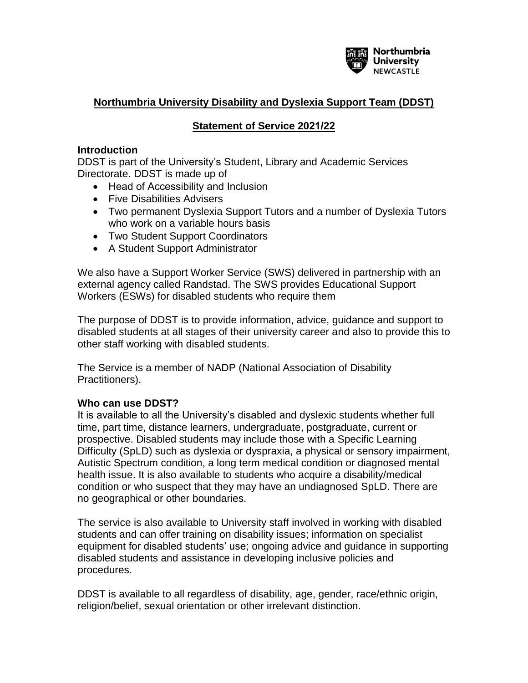

## **Northumbria University Disability and Dyslexia Support Team (DDST)**

## **Statement of Service 2021/22**

#### **Introduction**

DDST is part of the University's Student, Library and Academic Services Directorate. DDST is made up of

- Head of Accessibility and Inclusion
- Five Disabilities Advisers
- Two permanent Dyslexia Support Tutors and a number of Dyslexia Tutors who work on a variable hours basis
- Two Student Support Coordinators
- A Student Support Administrator

We also have a Support Worker Service (SWS) delivered in partnership with an external agency called Randstad. The SWS provides Educational Support Workers (ESWs) for disabled students who require them

The purpose of DDST is to provide information, advice, guidance and support to disabled students at all stages of their university career and also to provide this to other staff working with disabled students.

The Service is a member of NADP (National Association of Disability Practitioners).

### **Who can use DDST?**

It is available to all the University's disabled and dyslexic students whether full time, part time, distance learners, undergraduate, postgraduate, current or prospective. Disabled students may include those with a Specific Learning Difficulty (SpLD) such as dyslexia or dyspraxia, a physical or sensory impairment, Autistic Spectrum condition, a long term medical condition or diagnosed mental health issue. It is also available to students who acquire a disability/medical condition or who suspect that they may have an undiagnosed SpLD. There are no geographical or other boundaries.

The service is also available to University staff involved in working with disabled students and can offer training on disability issues; information on specialist equipment for disabled students' use; ongoing advice and guidance in supporting disabled students and assistance in developing inclusive policies and procedures.

DDST is available to all regardless of disability, age, gender, race/ethnic origin, religion/belief, sexual orientation or other irrelevant distinction.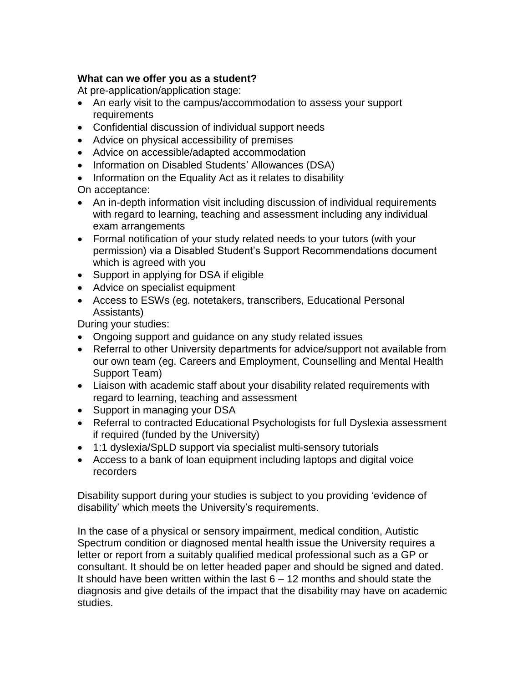## **What can we offer you as a student?**

At pre-application/application stage:

- An early visit to the campus/accommodation to assess your support requirements
- Confidential discussion of individual support needs
- Advice on physical accessibility of premises
- Advice on accessible/adapted accommodation
- Information on Disabled Students' Allowances (DSA)
- Information on the Equality Act as it relates to disability On acceptance:
- An in-depth information visit including discussion of individual requirements with regard to learning, teaching and assessment including any individual exam arrangements
- Formal notification of your study related needs to your tutors (with your permission) via a Disabled Student's Support Recommendations document which is agreed with you
- Support in applying for DSA if eligible
- Advice on specialist equipment
- Access to ESWs (eg. notetakers, transcribers, Educational Personal Assistants)

During your studies:

- Ongoing support and guidance on any study related issues
- Referral to other University departments for advice/support not available from our own team (eg. Careers and Employment, Counselling and Mental Health Support Team)
- Liaison with academic staff about your disability related requirements with regard to learning, teaching and assessment
- Support in managing your DSA
- Referral to contracted Educational Psychologists for full Dyslexia assessment if required (funded by the University)
- 1:1 dyslexia/SpLD support via specialist multi-sensory tutorials
- Access to a bank of loan equipment including laptops and digital voice recorders

Disability support during your studies is subject to you providing 'evidence of disability' which meets the University's requirements.

In the case of a physical or sensory impairment, medical condition, Autistic Spectrum condition or diagnosed mental health issue the University requires a letter or report from a suitably qualified medical professional such as a GP or consultant. It should be on letter headed paper and should be signed and dated. It should have been written within the last  $6 - 12$  months and should state the diagnosis and give details of the impact that the disability may have on academic studies.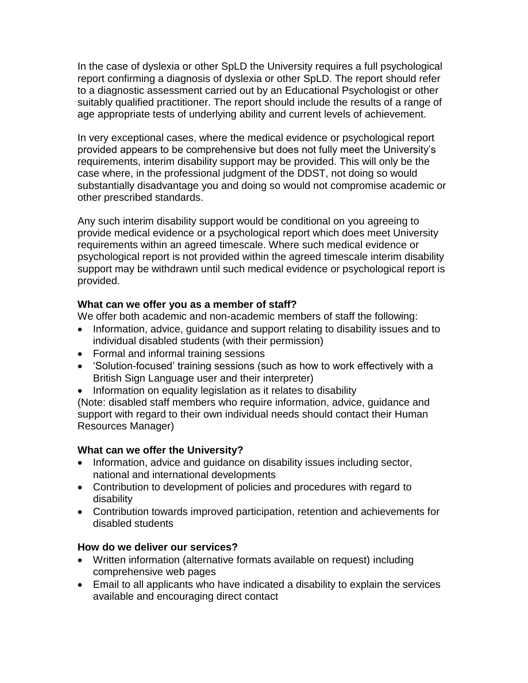In the case of dyslexia or other SpLD the University requires a full psychological report confirming a diagnosis of dyslexia or other SpLD. The report should refer to a diagnostic assessment carried out by an Educational Psychologist or other suitably qualified practitioner. The report should include the results of a range of age appropriate tests of underlying ability and current levels of achievement.

In very exceptional cases, where the medical evidence or psychological report provided appears to be comprehensive but does not fully meet the University's requirements, interim disability support may be provided. This will only be the case where, in the professional judgment of the DDST, not doing so would substantially disadvantage you and doing so would not compromise academic or other prescribed standards.

Any such interim disability support would be conditional on you agreeing to provide medical evidence or a psychological report which does meet University requirements within an agreed timescale. Where such medical evidence or psychological report is not provided within the agreed timescale interim disability support may be withdrawn until such medical evidence or psychological report is provided.

### **What can we offer you as a member of staff?**

We offer both academic and non-academic members of staff the following:

- Information, advice, guidance and support relating to disability issues and to individual disabled students (with their permission)
- Formal and informal training sessions
- 'Solution-focused' training sessions (such as how to work effectively with a British Sign Language user and their interpreter)
- Information on equality legislation as it relates to disability

(Note: disabled staff members who require information, advice, guidance and support with regard to their own individual needs should contact their Human Resources Manager)

## **What can we offer the University?**

- Information, advice and guidance on disability issues including sector, national and international developments
- Contribution to development of policies and procedures with regard to disability
- Contribution towards improved participation, retention and achievements for disabled students

## **How do we deliver our services?**

- Written information (alternative formats available on request) including comprehensive web pages
- Email to all applicants who have indicated a disability to explain the services available and encouraging direct contact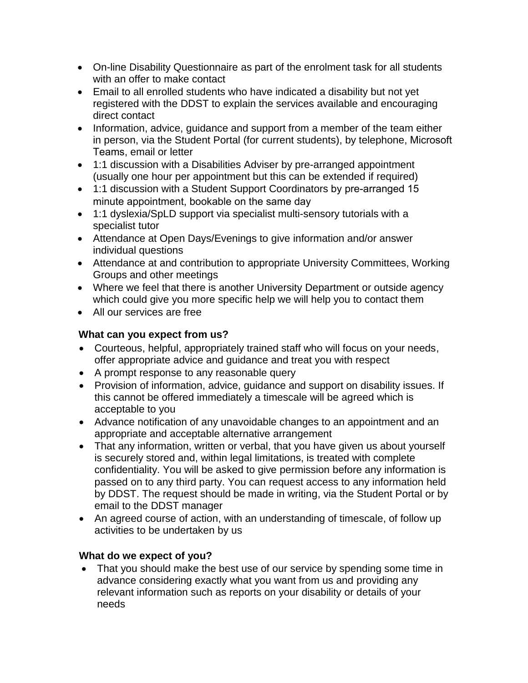- On-line Disability Questionnaire as part of the enrolment task for all students with an offer to make contact
- Email to all enrolled students who have indicated a disability but not yet registered with the DDST to explain the services available and encouraging direct contact
- Information, advice, guidance and support from a member of the team either in person, via the Student Portal (for current students), by telephone, Microsoft Teams, email or letter
- 1:1 discussion with a Disabilities Adviser by pre-arranged appointment (usually one hour per appointment but this can be extended if required)
- 1:1 discussion with a Student Support Coordinators by pre-arranged 15 minute appointment, bookable on the same day
- 1:1 dyslexia/SpLD support via specialist multi-sensory tutorials with a specialist tutor
- Attendance at Open Days/Evenings to give information and/or answer individual questions
- Attendance at and contribution to appropriate University Committees, Working Groups and other meetings
- Where we feel that there is another University Department or outside agency which could give you more specific help we will help you to contact them
- All our services are free

# **What can you expect from us?**

- Courteous, helpful, appropriately trained staff who will focus on your needs, offer appropriate advice and guidance and treat you with respect
- A prompt response to any reasonable query
- Provision of information, advice, quidance and support on disability issues. If this cannot be offered immediately a timescale will be agreed which is acceptable to you
- Advance notification of any unavoidable changes to an appointment and an appropriate and acceptable alternative arrangement
- That any information, written or verbal, that you have given us about yourself is securely stored and, within legal limitations, is treated with complete confidentiality. You will be asked to give permission before any information is passed on to any third party. You can request access to any information held by DDST. The request should be made in writing, via the Student Portal or by email to the DDST manager
- An agreed course of action, with an understanding of timescale, of follow up activities to be undertaken by us

# **What do we expect of you?**

• That you should make the best use of our service by spending some time in advance considering exactly what you want from us and providing any relevant information such as reports on your disability or details of your needs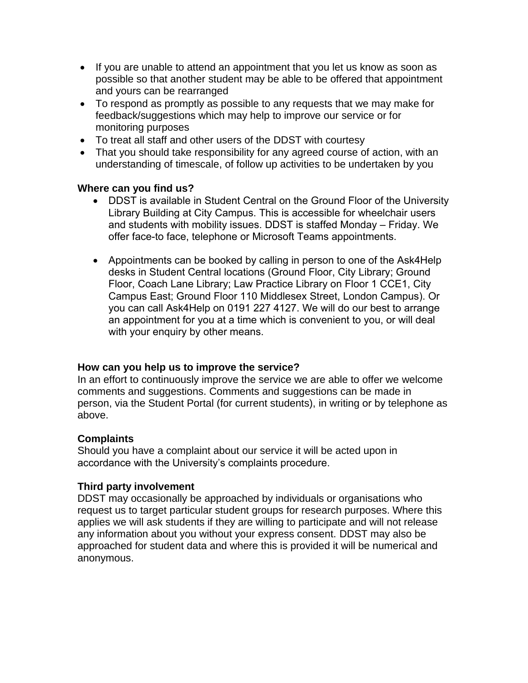- If you are unable to attend an appointment that you let us know as soon as possible so that another student may be able to be offered that appointment and yours can be rearranged
- To respond as promptly as possible to any requests that we may make for feedback/suggestions which may help to improve our service or for monitoring purposes
- To treat all staff and other users of the DDST with courtesy
- That you should take responsibility for any agreed course of action, with an understanding of timescale, of follow up activities to be undertaken by you

### **Where can you find us?**

- DDST is available in Student Central on the Ground Floor of the University Library Building at City Campus. This is accessible for wheelchair users and students with mobility issues. DDST is staffed Monday – Friday. We offer face-to face, telephone or Microsoft Teams appointments.
- Appointments can be booked by calling in person to one of the Ask4Help desks in Student Central locations (Ground Floor, City Library; Ground Floor, Coach Lane Library; Law Practice Library on Floor 1 CCE1, City Campus East; Ground Floor 110 Middlesex Street, London Campus). Or you can call Ask4Help on 0191 227 4127. We will do our best to arrange an appointment for you at a time which is convenient to you, or will deal with your enquiry by other means.

### **How can you help us to improve the service?**

In an effort to continuously improve the service we are able to offer we welcome comments and suggestions. Comments and suggestions can be made in person, via the Student Portal (for current students), in writing or by telephone as above.

### **Complaints**

Should you have a complaint about our service it will be acted upon in accordance with the University's complaints procedure.

### **Third party involvement**

DDST may occasionally be approached by individuals or organisations who request us to target particular student groups for research purposes. Where this applies we will ask students if they are willing to participate and will not release any information about you without your express consent. DDST may also be approached for student data and where this is provided it will be numerical and anonymous.